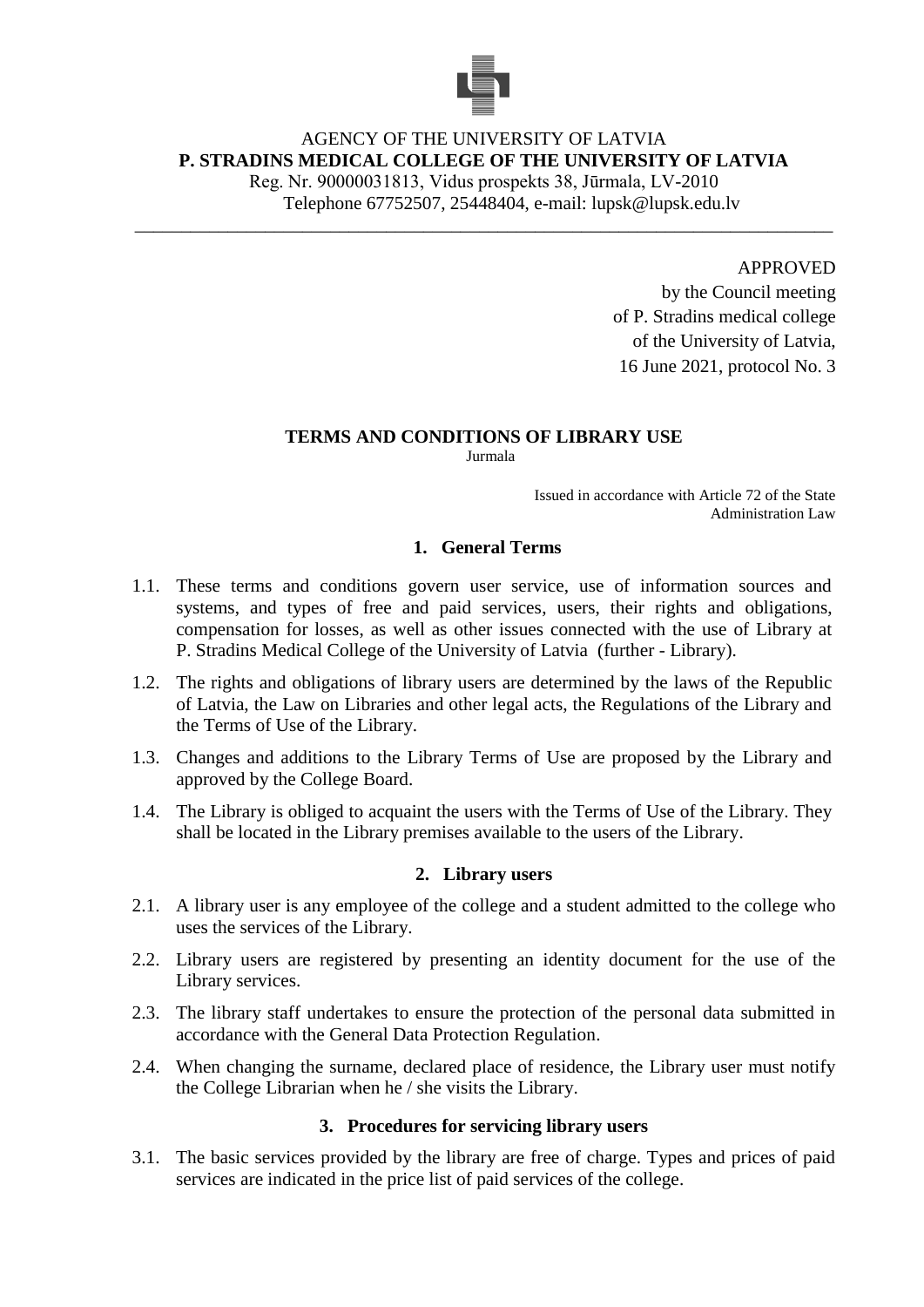

## AGENCY OF THE UNIVERSITY OF LATVIA **P. STRADINS MEDICAL COLLEGE OF THE UNIVERSITY OF LATVIA**

Reg. Nr. 90000031813, Vidus prospekts 38, Jūrmala, LV-2010 Telephone 67752507, 25448404, e-mail: lupsk@lupsk.edu.lv

\_\_\_\_\_\_\_\_\_\_\_\_\_\_\_\_\_\_\_\_\_\_\_\_\_\_\_\_\_\_\_\_\_\_\_\_\_\_\_\_\_\_\_\_\_\_\_\_\_\_\_\_\_\_\_\_\_\_\_\_\_\_\_\_\_\_\_\_\_\_\_\_\_\_\_

APPROVED

by the Council meeting of P. Stradins medical college of the University of Latvia, 16 June 2021, protocol No. 3

# **TERMS AND CONDITIONS OF LIBRARY USE**

Jurmala

Issued in accordance with Article 72 of the State Administration Law

## **1. General Terms**

- 1.1. These terms and conditions govern user service, use of information sources and systems, and types of free and paid services, users, their rights and obligations, compensation for losses, as well as other issues connected with the use of Library at P. Stradins Medical College of the University of Latvia (further - Library).
- 1.2. The rights and obligations of library users are determined by the laws of the Republic of Latvia, the Law on Libraries and other legal acts, the Regulations of the Library and the Terms of Use of the Library.
- 1.3. Changes and additions to the Library Terms of Use are proposed by the Library and approved by the College Board.
- 1.4. The Library is obliged to acquaint the users with the Terms of Use of the Library. They shall be located in the Library premises available to the users of the Library.

## **2. Library users**

- 2.1. A library user is any employee of the college and a student admitted to the college who uses the services of the Library.
- 2.2. Library users are registered by presenting an identity document for the use of the Library services.
- 2.3. The library staff undertakes to ensure the protection of the personal data submitted in accordance with the General Data Protection Regulation.
- 2.4. When changing the surname, declared place of residence, the Library user must notify the College Librarian when he / she visits the Library.

## **3. Procedures for servicing library users**

3.1. The basic services provided by the library are free of charge. Types and prices of paid services are indicated in the price list of paid services of the college.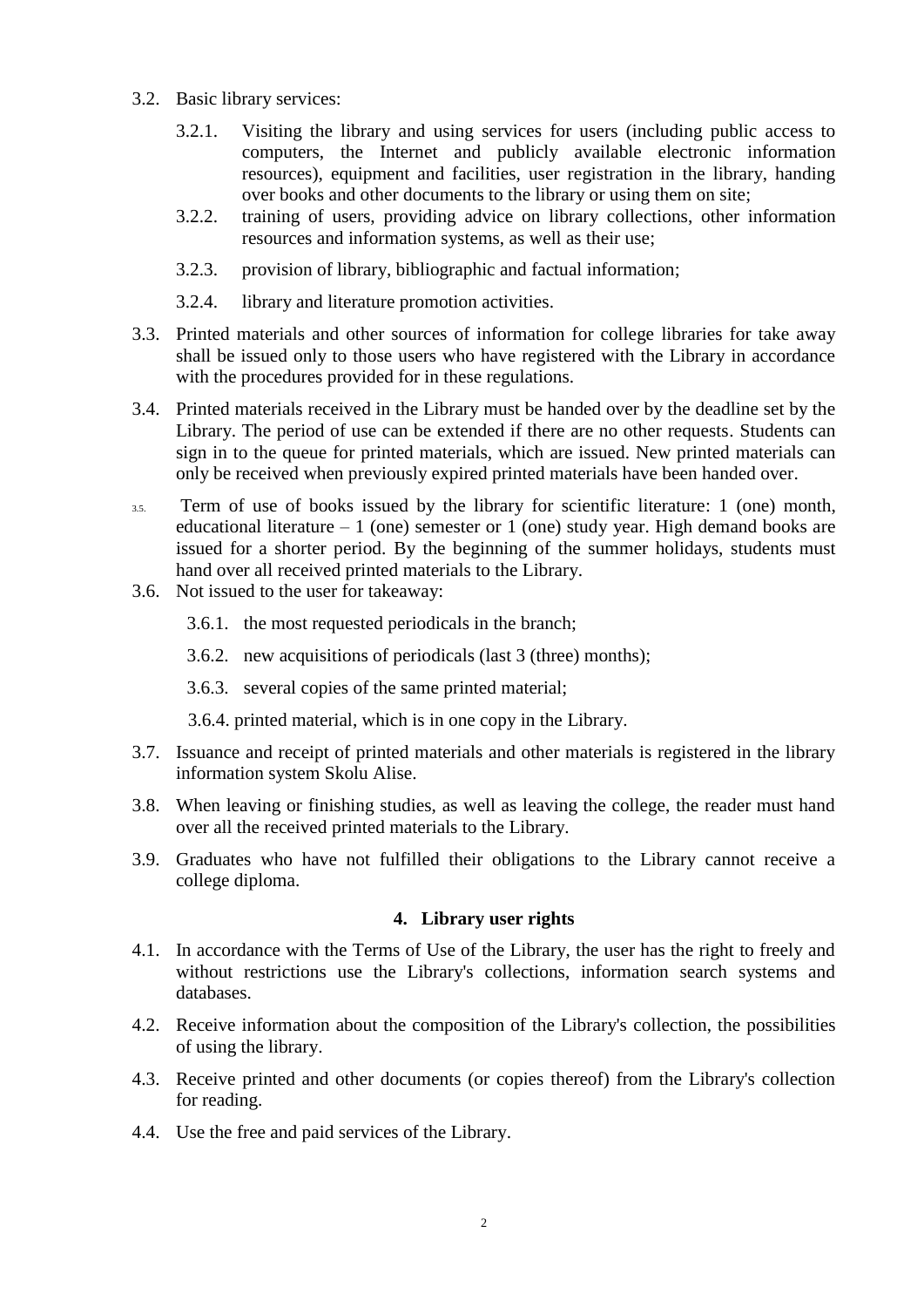- 3.2. Basic library services:
	- 3.2.1. Visiting the library and using services for users (including public access to computers, the Internet and publicly available electronic information resources), equipment and facilities, user registration in the library, handing over books and other documents to the library or using them on site;
	- 3.2.2. training of users, providing advice on library collections, other information resources and information systems, as well as their use;
	- 3.2.3. provision of library, bibliographic and factual information;
	- 3.2.4. library and literature promotion activities.
- 3.3. Printed materials and other sources of information for college libraries for take away shall be issued only to those users who have registered with the Library in accordance with the procedures provided for in these regulations.
- 3.4. Printed materials received in the Library must be handed over by the deadline set by the Library. The period of use can be extended if there are no other requests. Students can sign in to the queue for printed materials, which are issued. New printed materials can only be received when previously expired printed materials have been handed over.
- 3.5. Term of use of books issued by the library for scientific literature: 1 (one) month, educational literature  $-1$  (one) semester or 1 (one) study year. High demand books are issued for a shorter period. By the beginning of the summer holidays, students must hand over all received printed materials to the Library.
- 3.6. Not issued to the user for takeaway:
	- 3.6.1. the most requested periodicals in the branch;
	- 3.6.2. new acquisitions of periodicals (last 3 (three) months);
	- 3.6.3. several copies of the same printed material;
	- 3.6.4. printed material, which is in one copy in the Library.
- 3.7. Issuance and receipt of printed materials and other materials is registered in the library information system Skolu Alise.
- 3.8. When leaving or finishing studies, as well as leaving the college, the reader must hand over all the received printed materials to the Library.
- 3.9. Graduates who have not fulfilled their obligations to the Library cannot receive a college diploma.

#### **4. Library user rights**

- 4.1. In accordance with the Terms of Use of the Library, the user has the right to freely and without restrictions use the Library's collections, information search systems and databases.
- 4.2. Receive information about the composition of the Library's collection, the possibilities of using the library.
- 4.3. Receive printed and other documents (or copies thereof) from the Library's collection for reading.
- 4.4. Use the free and paid services of the Library.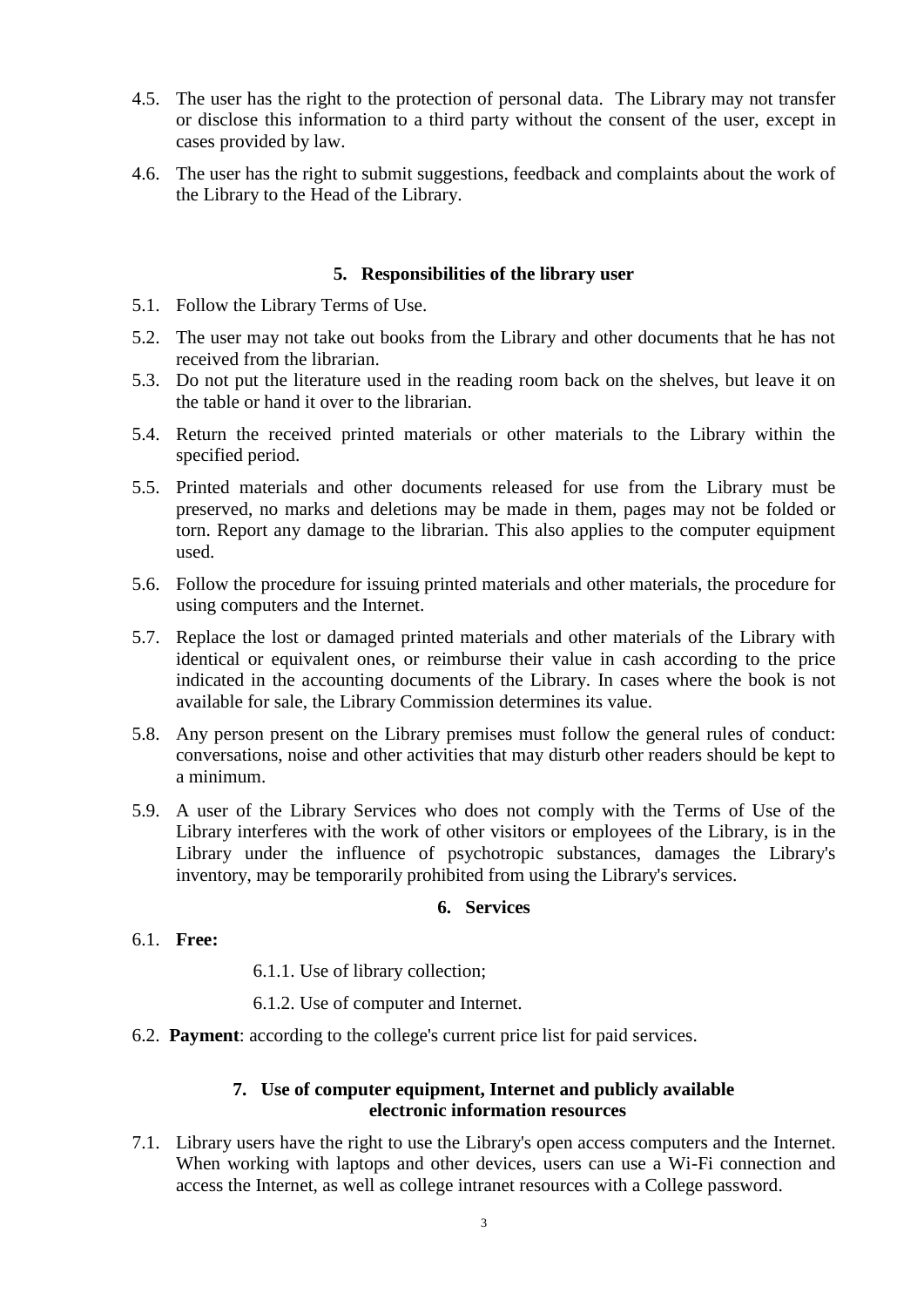- 4.5. The user has the right to the protection of personal data. The Library may not transfer or disclose this information to a third party without the consent of the user, except in cases provided by law.
- 4.6. The user has the right to submit suggestions, feedback and complaints about the work of the Library to the Head of the Library.

#### **5. Responsibilities of the library user**

- 5.1. Follow the Library Terms of Use.
- 5.2. The user may not take out books from the Library and other documents that he has not received from the librarian.
- 5.3. Do not put the literature used in the reading room back on the shelves, but leave it on the table or hand it over to the librarian.
- 5.4. Return the received printed materials or other materials to the Library within the specified period.
- 5.5. Printed materials and other documents released for use from the Library must be preserved, no marks and deletions may be made in them, pages may not be folded or torn. Report any damage to the librarian. This also applies to the computer equipment used.
- 5.6. Follow the procedure for issuing printed materials and other materials, the procedure for using computers and the Internet.
- 5.7. Replace the lost or damaged printed materials and other materials of the Library with identical or equivalent ones, or reimburse their value in cash according to the price indicated in the accounting documents of the Library. In cases where the book is not available for sale, the Library Commission determines its value.
- 5.8. Any person present on the Library premises must follow the general rules of conduct: conversations, noise and other activities that may disturb other readers should be kept to a minimum.
- 5.9. A user of the Library Services who does not comply with the Terms of Use of the Library interferes with the work of other visitors or employees of the Library, is in the Library under the influence of psychotropic substances, damages the Library's inventory, may be temporarily prohibited from using the Library's services.

#### **6. Services**

- 6.1. **Free:**
- 6.1.1. Use of library collection;
- 6.1.2. Use of computer and Internet.
- 6.2. **Payment**: according to the college's current price list for paid services.

#### **7. Use of computer equipment, Internet and publicly available electronic information resources**

7.1. Library users have the right to use the Library's open access computers and the Internet. When working with laptops and other devices, users can use a Wi-Fi connection and access the Internet, as well as college intranet resources with a College password.